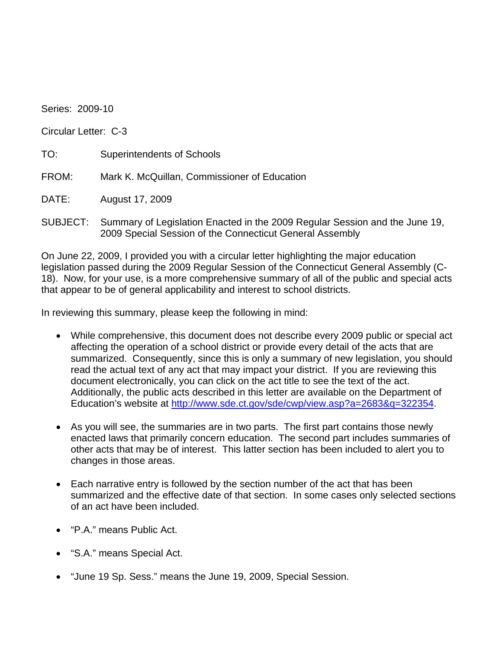Series: 2009-10

Circular Letter: C-3

TO: Superintendents of Schools

FROM: Mark K. McQuillan, Commissioner of Education

DATE: August 17, 2009

SUBJECT: Summary of Legislation Enacted in the 2009 Regular Session and the June 19, 2009 Special Session of the Connecticut General Assembly

On June 22, 2009, I provided you with a circular letter highlighting the major education legislation passed during the 2009 Regular Session of the Connecticut General Assembly (C-18). Now, for your use, is a more comprehensive summary of all of the public and special acts that appear to be of general applicability and interest to school districts.

In reviewing this summary, please keep the following in mind:

- While comprehensive, this document does not describe every 2009 public or special act affecting the operation of a school district or provide every detail of the acts that are summarized. Consequently, since this is only a summary of new legislation, you should read the actual text of any act that may impact your district. If you are reviewing this document electronically, you can click on the act title to see the text of the act. Additionally, the public acts described in this letter are available on the Department of Education's website at<http://www.sde.ct.gov/sde/cwp/view.asp?a=2683&q=322354>.
- As you will see, the summaries are in two parts. The first part contains those newly enacted laws that primarily concern education. The second part includes summaries of other acts that may be of interest. This latter section has been included to alert you to changes in those areas.
- Each narrative entry is followed by the section number of the act that has been summarized and the effective date of that section. In some cases only selected sections of an act have been included.
- "P.A." means Public Act.
- "S.A." means Special Act.
- "June 19 Sp. Sess." means the June 19, 2009, Special Session.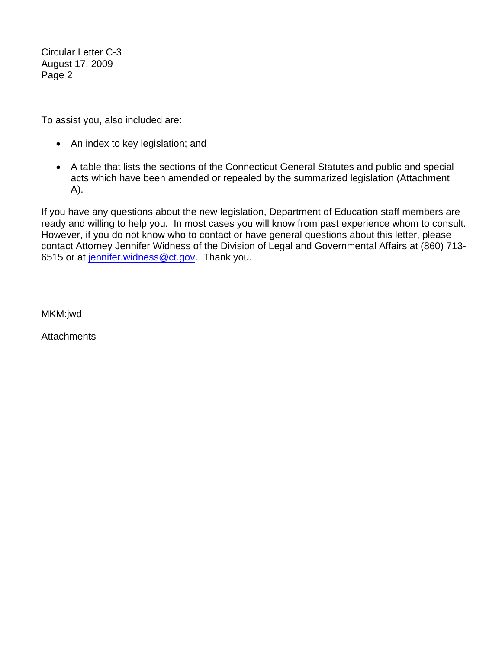Circular Letter C-3 August 17, 2009 Page 2

To assist you, also included are:

- An index to key legislation; and
- A table that lists the sections of the Connecticut General Statutes and public and special acts which have been amended or repealed by the summarized legislation (Attachment A).

If you have any questions about the new legislation, Department of Education staff members are ready and willing to help you. In most cases you will know from past experience whom to consult. However, if you do not know who to contact or have general questions about this letter, please contact Attorney Jennifer Widness of the Division of Legal and Governmental Affairs at (860) 713- 6515 or at [jennifer.widness@ct.gov](mailto:jennifer.widness@ct.gov). Thank you.

MKM:jwd

**Attachments**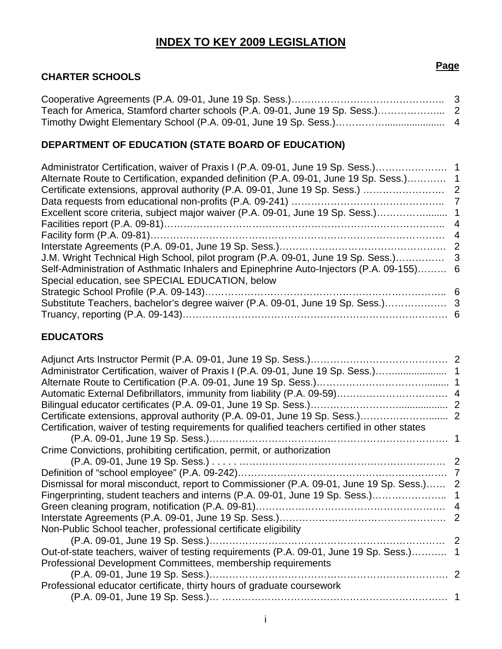# **INDEX TO KEY 2009 LEGISLATION**

#### **CHARTER SCHOOLS**

# **DEPARTMENT OF EDUCATION (STATE BOARD OF EDUCATION)**

| Administrator Certification, waiver of Praxis I (P.A. 09-01, June 19 Sp. Sess.)<br>Alternate Route to Certification, expanded definition (P.A. 09-01, June 19 Sp. Sess.) 1 |
|----------------------------------------------------------------------------------------------------------------------------------------------------------------------------|
|                                                                                                                                                                            |
|                                                                                                                                                                            |
| Excellent score criteria, subject major waiver (P.A. 09-01, June 19 Sp. Sess.)                                                                                             |
|                                                                                                                                                                            |
|                                                                                                                                                                            |
|                                                                                                                                                                            |
| J.M. Wright Technical High School, pilot program (P.A. 09-01, June 19 Sp. Sess.)                                                                                           |
| Self-Administration of Asthmatic Inhalers and Epinephrine Auto-Injectors (P.A. 09-155) 6                                                                                   |
|                                                                                                                                                                            |
|                                                                                                                                                                            |
| Substitute Teachers, bachelor's degree waiver (P.A. 09-01, June 19 Sp. Sess.)                                                                                              |
|                                                                                                                                                                            |
|                                                                                                                                                                            |

## **EDUCATORS**

| Administrator Certification, waiver of Praxis I (P.A. 09-01, June 19 Sp. Sess.)                |  |
|------------------------------------------------------------------------------------------------|--|
|                                                                                                |  |
|                                                                                                |  |
|                                                                                                |  |
| Certificate extensions, approval authority (P.A. 09-01, June 19 Sp. Sess.) 2                   |  |
| Certification, waiver of testing requirements for qualified teachers certified in other states |  |
|                                                                                                |  |
| Crime Convictions, prohibiting certification, permit, or authorization                         |  |
|                                                                                                |  |
|                                                                                                |  |
| Dismissal for moral misconduct, report to Commissioner (P.A. 09-01, June 19 Sp. Sess.) 2       |  |
|                                                                                                |  |
|                                                                                                |  |
|                                                                                                |  |
| Non-Public School teacher, professional certificate eligibility                                |  |
|                                                                                                |  |
| Out-of-state teachers, waiver of testing requirements (P.A. 09-01, June 19 Sp. Sess.) 1        |  |
| Professional Development Committees, membership requirements                                   |  |
|                                                                                                |  |
| Professional educator certificate, thirty hours of graduate coursework                         |  |
|                                                                                                |  |

i

#### **Page**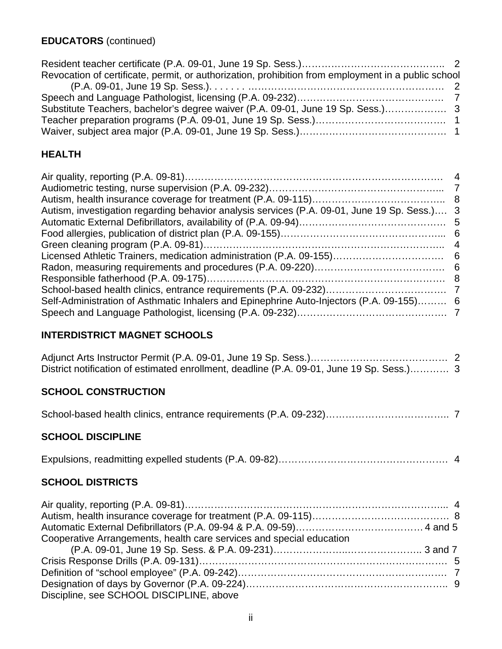| Revocation of certificate, permit, or authorization, prohibition from employment in a public school |  |
|-----------------------------------------------------------------------------------------------------|--|
|                                                                                                     |  |
|                                                                                                     |  |
| Substitute Teachers, bachelor's degree waiver (P.A. 09-01, June 19 Sp. Sess.)                       |  |
|                                                                                                     |  |
|                                                                                                     |  |

# **HEALTH**

| Autism, investigation regarding behavior analysis services (P.A. 09-01, June 19 Sp. Sess.) 3 |
|----------------------------------------------------------------------------------------------|
|                                                                                              |
|                                                                                              |
|                                                                                              |
|                                                                                              |
|                                                                                              |
|                                                                                              |
|                                                                                              |
| Self-Administration of Asthmatic Inhalers and Epinephrine Auto-Injectors (P.A. 09-155) 6     |
|                                                                                              |
|                                                                                              |

# **INTERDISTRICT MAGNET SCHOOLS**

| District notification of estimated enrollment, deadline (P.A. 09-01, June 19 Sp. Sess.) 3 |  |
|-------------------------------------------------------------------------------------------|--|

# **SCHOOL CONSTRUCTION**

|--|--|

# **SCHOOL DISCIPLINE**

|--|--|--|--|--|

# **SCHOOL DISTRICTS**

| Cooperative Arrangements, health care services and special education |  |
|----------------------------------------------------------------------|--|
|                                                                      |  |
|                                                                      |  |
|                                                                      |  |
|                                                                      |  |
| Discipline, see SCHOOL DISCIPLINE, above                             |  |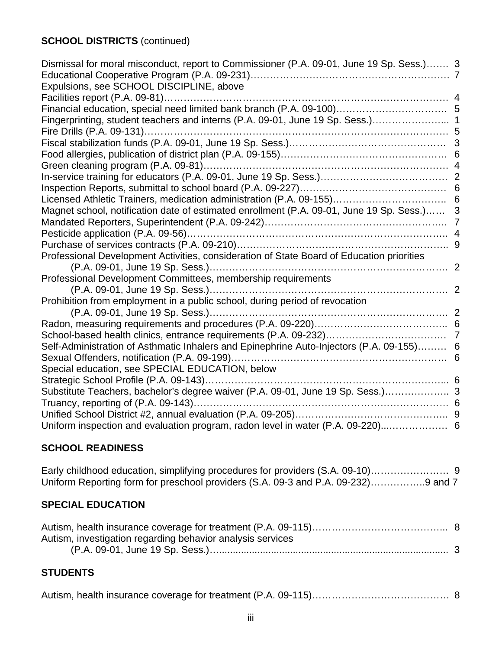# **SCHOOL DISTRICTS** (continued)

| Dismissal for moral misconduct, report to Commissioner (P.A. 09-01, June 19 Sp. Sess.) 3   |  |
|--------------------------------------------------------------------------------------------|--|
|                                                                                            |  |
| Expulsions, see SCHOOL DISCIPLINE, above                                                   |  |
|                                                                                            |  |
|                                                                                            |  |
| Fingerprinting, student teachers and interns (P.A. 09-01, June 19 Sp. Sess.) 1             |  |
| Fire Drills (P.A. 09-131)                                                                  |  |
|                                                                                            |  |
|                                                                                            |  |
|                                                                                            |  |
|                                                                                            |  |
|                                                                                            |  |
|                                                                                            |  |
| Magnet school, notification date of estimated enrollment (P.A. 09-01, June 19 Sp. Sess.) 3 |  |
|                                                                                            |  |
|                                                                                            |  |
|                                                                                            |  |
| Professional Development Activities, consideration of State Board of Education priorities  |  |
|                                                                                            |  |
| Professional Development Committees, membership requirements                               |  |
|                                                                                            |  |
| Prohibition from employment in a public school, during period of revocation                |  |
|                                                                                            |  |
|                                                                                            |  |
|                                                                                            |  |
| Self-Administration of Asthmatic Inhalers and Epinephrine Auto-Injectors (P.A. 09-155) 6   |  |
|                                                                                            |  |
| Special education, see SPECIAL EDUCATION, below                                            |  |
|                                                                                            |  |
| Substitute Teachers, bachelor's degree waiver (P.A. 09-01, June 19 Sp. Sess.) 3            |  |
| Truancy, reporting of (P.A. 09-143)                                                        |  |
|                                                                                            |  |
| Uniform inspection and evaluation program, radon level in water (P.A. 09-220)              |  |

# **SCHOOL READINESS**

| Early childhood education, simplifying procedures for providers (S.A. 09-10)      |  |
|-----------------------------------------------------------------------------------|--|
| Uniform Reporting form for preschool providers (S.A. 09-3 and P.A. 09-232)9 and 7 |  |

# **SPECIAL EDUCATION**

| Autism, investigation regarding behavior analysis services |  |
|------------------------------------------------------------|--|
|                                                            |  |

# **STUDENTS**

|--|--|--|--|--|--|--|--|--|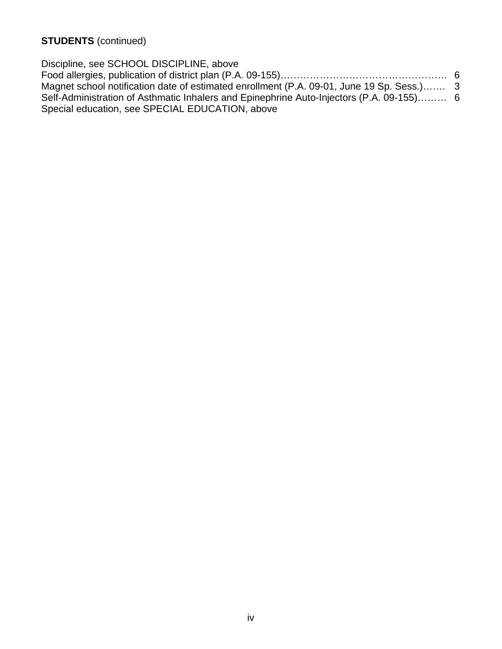**STUDENTS** (continued)

Discipline, see SCHOOL DISCIPLINE, above Food allergies, publication of district plan (P.A. 09-155)…………………………………………… 6 Magnet school notification date of estimated enrollment (P.A. 09-01, June 19 Sp. Sess.)……. 3 Self-Administration of Asthmatic Inhalers and Epinephrine Auto-Injectors (P.A. 09-155)……… 6 Special education, see SPECIAL EDUCATION, above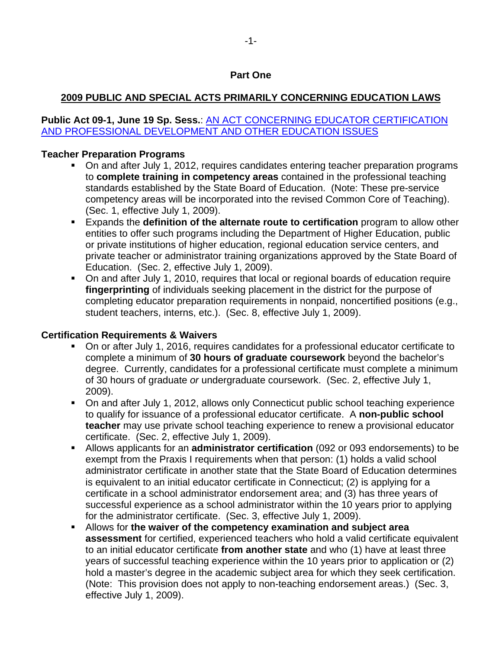#### **Part One**

## **2009 PUBLIC AND SPECIAL ACTS PRIMARILY CONCERNING EDUCATION LAWS**

### **Public Act 09-1, June 19 Sp. Sess.: AN ACT CONCERNING EDUCATOR CERTIFICATION** [AND PROFESSIONAL DEVELOPMENT AND OTHER EDUCATION ISSUES](http://www.cga.ct.gov/2009/ACT/Pa/pdf/2009PA-00001-R00HB-06901SS2-PA.pdf)

#### **Teacher Preparation Programs**

- On and after July 1, 2012, requires candidates entering teacher preparation programs to **complete training in competency areas** contained in the professional teaching standards established by the State Board of Education. (Note: These pre-service competency areas will be incorporated into the revised Common Core of Teaching). (Sec. 1, effective July 1, 2009).
- Expands the **definition of the alternate route to certification** program to allow other entities to offer such programs including the Department of Higher Education, public or private institutions of higher education, regional education service centers, and private teacher or administrator training organizations approved by the State Board of Education. (Sec. 2, effective July 1, 2009).
- On and after July 1, 2010, requires that local or regional boards of education require **fingerprinting** of individuals seeking placement in the district for the purpose of completing educator preparation requirements in nonpaid, noncertified positions (e.g., student teachers, interns, etc.). (Sec. 8, effective July 1, 2009).

#### **Certification Requirements & Waivers**

- On or after July 1, 2016, requires candidates for a professional educator certificate to complete a minimum of **30 hours of graduate coursework** beyond the bachelor's degree. Currently, candidates for a professional certificate must complete a minimum of 30 hours of graduate *or* undergraduate coursework. (Sec. 2, effective July 1, 2009).
- On and after July 1, 2012, allows only Connecticut public school teaching experience to qualify for issuance of a professional educator certificate. A **non-public school teacher** may use private school teaching experience to renew a provisional educator certificate. (Sec. 2, effective July 1, 2009).
- Allows applicants for an **administrator certification** (092 or 093 endorsements) to be exempt from the Praxis I requirements when that person: (1) holds a valid school administrator certificate in another state that the State Board of Education determines is equivalent to an initial educator certificate in Connecticut; (2) is applying for a certificate in a school administrator endorsement area; and (3) has three years of successful experience as a school administrator within the 10 years prior to applying for the administrator certificate. (Sec. 3, effective July 1, 2009).
- Allows for **the waiver of the competency examination and subject area assessment** for certified, experienced teachers who hold a valid certificate equivalent to an initial educator certificate **from another state** and who (1) have at least three years of successful teaching experience within the 10 years prior to application or (2) hold a master's degree in the academic subject area for which they seek certification. (Note: This provision does not apply to non-teaching endorsement areas.) (Sec. 3, effective July 1, 2009).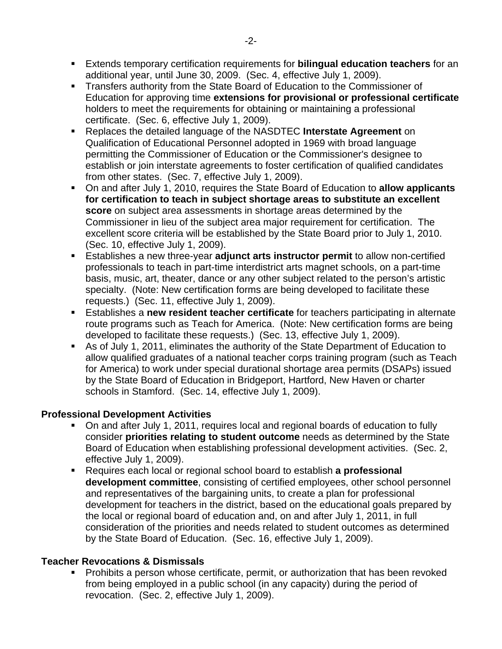- Extends temporary certification requirements for **bilingual education teachers** for an additional year, until June 30, 2009. (Sec. 4, effective July 1, 2009).
- **Transfers authority from the State Board of Education to the Commissioner of** Education for approving time **extensions for provisional or professional certificate** holders to meet the requirements for obtaining or maintaining a professional certificate. (Sec. 6, effective July 1, 2009).
- Replaces the detailed language of the NASDTEC **Interstate Agreement** on Qualification of Educational Personnel adopted in 1969 with broad language permitting the Commissioner of Education or the Commissioner's designee to establish or join interstate agreements to foster certification of qualified candidates from other states. (Sec. 7, effective July 1, 2009).
- On and after July 1, 2010, requires the State Board of Education to **allow applicants for certification to teach in subject shortage areas to substitute an excellent score** on subject area assessments in shortage areas determined by the Commissioner in lieu of the subject area major requirement for certification. The excellent score criteria will be established by the State Board prior to July 1, 2010. (Sec. 10, effective July 1, 2009).
- Establishes a new three-year **adjunct arts instructor permit** to allow non-certified professionals to teach in part-time interdistrict arts magnet schools, on a part-time basis, music, art, theater, dance or any other subject related to the person's artistic specialty. (Note: New certification forms are being developed to facilitate these requests.) (Sec. 11, effective July 1, 2009).
- Establishes a **new resident teacher certificate** for teachers participating in alternate route programs such as Teach for America. (Note: New certification forms are being developed to facilitate these requests.) (Sec. 13, effective July 1, 2009).
- As of July 1, 2011, eliminates the authority of the State Department of Education to allow qualified graduates of a national teacher corps training program (such as Teach for America) to work under special durational shortage area permits (DSAPs) issued by the State Board of Education in Bridgeport, Hartford, New Haven or charter schools in Stamford. (Sec. 14, effective July 1, 2009).

## **Professional Development Activities**

- On and after July 1, 2011, requires local and regional boards of education to fully consider **priorities relating to student outcome** needs as determined by the State Board of Education when establishing professional development activities. (Sec. 2, effective July 1, 2009).
- Requires each local or regional school board to establish **a professional development committee**, consisting of certified employees, other school personnel and representatives of the bargaining units, to create a plan for professional development for teachers in the district, based on the educational goals prepared by the local or regional board of education and, on and after July 1, 2011, in full consideration of the priorities and needs related to student outcomes as determined by the State Board of Education. (Sec. 16, effective July 1, 2009).

#### **Teacher Revocations & Dismissals**

 Prohibits a person whose certificate, permit, or authorization that has been revoked from being employed in a public school (in any capacity) during the period of revocation. (Sec. 2, effective July 1, 2009).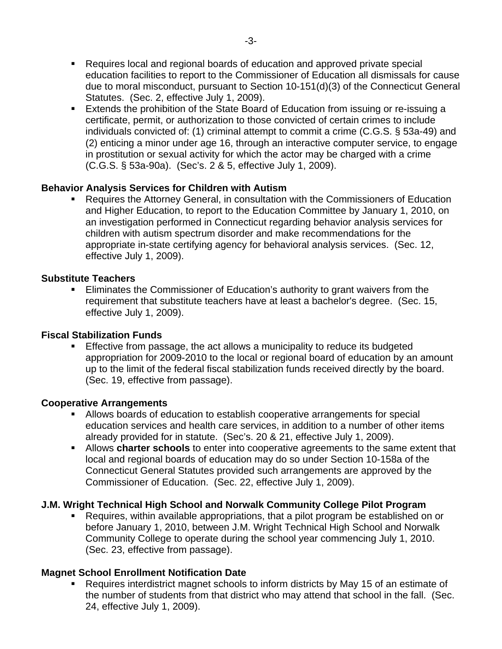Extends the prohibition of the State Board of Education from issuing or re-issuing a certificate, permit, or authorization to those convicted of certain crimes to include individuals convicted of: (1) criminal attempt to commit a crime (C.G.S. § 53a-49) and (2) enticing a minor under age 16, through an interactive computer service, to engage in prostitution or sexual activity for which the actor may be charged with a crime (C.G.S. § 53a-90a). (Sec's. 2 & 5, effective July 1, 2009).

## **Behavior Analysis Services for Children with Autism**

 Requires the Attorney General, in consultation with the Commissioners of Education and Higher Education, to report to the Education Committee by January 1, 2010, on an investigation performed in Connecticut regarding behavior analysis services for children with autism spectrum disorder and make recommendations for the appropriate in-state certifying agency for behavioral analysis services. (Sec. 12, effective July 1, 2009).

## **Substitute Teachers**

 Eliminates the Commissioner of Education's authority to grant waivers from the requirement that substitute teachers have at least a bachelor's degree. (Sec. 15, effective July 1, 2009).

## **Fiscal Stabilization Funds**

 Effective from passage, the act allows a municipality to reduce its budgeted appropriation for 2009-2010 to the local or regional board of education by an amount up to the limit of the federal fiscal stabilization funds received directly by the board. (Sec. 19, effective from passage).

## **Cooperative Arrangements**

- Allows boards of education to establish cooperative arrangements for special education services and health care services, in addition to a number of other items already provided for in statute. (Sec's. 20 & 21, effective July 1, 2009).
- Allows **charter schools** to enter into cooperative agreements to the same extent that local and regional boards of education may do so under Section 10-158a of the Connecticut General Statutes provided such arrangements are approved by the Commissioner of Education. (Sec. 22, effective July 1, 2009).

## **J.M. Wright Technical High School and Norwalk Community College Pilot Program**

 Requires, within available appropriations, that a pilot program be established on or before January 1, 2010, between J.M. Wright Technical High School and Norwalk Community College to operate during the school year commencing July 1, 2010. (Sec. 23, effective from passage).

## **Magnet School Enrollment Notification Date**

 Requires interdistrict magnet schools to inform districts by May 15 of an estimate of the number of students from that district who may attend that school in the fall. (Sec. 24, effective July 1, 2009).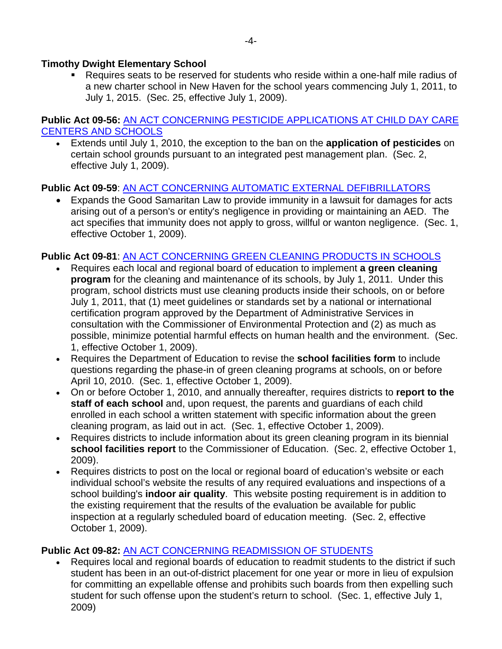### **Timothy Dwight Elementary School**

 Requires seats to be reserved for students who reside within a one-half mile radius of a new charter school in New Haven for the school years commencing July 1, 2011, to July 1, 2015. (Sec. 25, effective July 1, 2009).

#### **Public Act 09-56:** [AN ACT CONCERNING PESTICIDE APPLICATIONS AT CHILD DAY CARE](http://www.cga.ct.gov/2009/ACT/Pa/pdf/2009PA-00056-R00SB-01020-PA.pdf)  [CENTERS AND SCHOOLS](http://www.cga.ct.gov/2009/ACT/Pa/pdf/2009PA-00056-R00SB-01020-PA.pdf)

• Extends until July 1, 2010, the exception to the ban on the **application of pesticides** on certain school grounds pursuant to an integrated pest management plan. (Sec. 2, effective July 1, 2009).

#### **Public Act 09-59**: [AN ACT CONCERNING AUTOMATIC EXTERNAL DEFIBRILLATORS](http://www.cga.ct.gov/2009/ACT/Pa/pdf/2009PA-00059-R00SB-01089-PA.pdf)

• Expands the Good Samaritan Law to provide immunity in a lawsuit for damages for acts arising out of a person's or entity's negligence in providing or maintaining an AED. The act specifies that immunity does not apply to gross, willful or wanton negligence. (Sec. 1, effective October 1, 2009).

#### **Public Act 09-81**: [AN ACT CONCERNING GREEN CLEANING PRODUCTS IN SCHOOLS](http://www.cga.ct.gov/2009/ACT/Pa/pdf/2009PA-00081-R00HB-06496-PA.pdf)

- Requires each local and regional board of education to implement **a green cleaning program** for the cleaning and maintenance of its schools, by July 1, 2011. Under this program, school districts must use cleaning products inside their schools, on or before July 1, 2011, that (1) meet guidelines or standards set by a national or international certification program approved by the Department of Administrative Services in consultation with the Commissioner of Environmental Protection and (2) as much as possible, minimize potential harmful effects on human health and the environment. (Sec. 1, effective October 1, 2009).
- Requires the Department of Education to revise the **school facilities form** to include questions regarding the phase-in of green cleaning programs at schools, on or before April 10, 2010. (Sec. 1, effective October 1, 2009).
- On or before October 1, 2010, and annually thereafter, requires districts to **report to the staff of each school** and, upon request, the parents and guardians of each child enrolled in each school a written statement with specific information about the green cleaning program, as laid out in act. (Sec. 1, effective October 1, 2009).
- Requires districts to include information about its green cleaning program in its biennial **school facilities report** to the Commissioner of Education. (Sec. 2, effective October 1, 2009).
- Requires districts to post on the local or regional board of education's website or each individual school's website the results of any required evaluations and inspections of a school building's **indoor air quality**. This website posting requirement is in addition to the existing requirement that the results of the evaluation be available for public inspection at a regularly scheduled board of education meeting. (Sec. 2, effective October 1, 2009).

## **Public Act 09-82:** [AN ACT CONCERNING READMISSION OF STUDENTS](http://www.cga.ct.gov/2009/ACT/Pa/pdf/2009PA-00082-R00HB-06567-PA.pdf)

• Requires local and regional boards of education to readmit students to the district if such student has been in an out-of-district placement for one year or more in lieu of expulsion for committing an expellable offense and prohibits such boards from then expelling such student for such offense upon the student's return to school. (Sec. 1, effective July 1, 2009)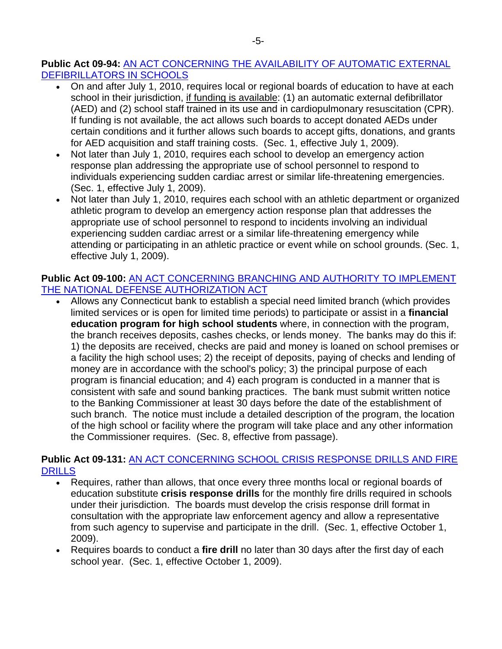#### **Public Act 09-94:** [AN ACT CONCERNING THE AVAILABILITY OF AUTOMATIC EXTERNAL](http://www.cga.ct.gov/2009/ACT/Pa/pdf/2009PA-00094-R00SB-00981-PA.pdf)  [DEFIBRILLATORS IN SCHOOLS](http://www.cga.ct.gov/2009/ACT/Pa/pdf/2009PA-00094-R00SB-00981-PA.pdf)

- On and after July 1, 2010, requires local or regional boards of education to have at each school in their jurisdiction, if funding is available: (1) an automatic external defibrillator (AED) and (2) school staff trained in its use and in cardiopulmonary resuscitation (CPR). If funding is not available, the act allows such boards to accept donated AEDs under certain conditions and it further allows such boards to accept gifts, donations, and grants for AED acquisition and staff training costs. (Sec. 1, effective July 1, 2009).
- Not later than July 1, 2010, requires each school to develop an emergency action response plan addressing the appropriate use of school personnel to respond to individuals experiencing sudden cardiac arrest or similar life-threatening emergencies. (Sec. 1, effective July 1, 2009).
- Not later than July 1, 2010, requires each school with an athletic department or organized athletic program to develop an emergency action response plan that addresses the appropriate use of school personnel to respond to incidents involving an individual experiencing sudden cardiac arrest or a similar life-threatening emergency while attending or participating in an athletic practice or event while on school grounds. (Sec. 1, effective July 1, 2009).

## **Public Act 09-100:** [AN ACT CONCERNING BRANCHING AND AUTHORITY TO IMPLEMENT](http://www.cga.ct.gov/2009/ACT/Pa/pdf/2009PA-00100-R00SB-00617-PA.pdf)  [THE NATIONAL DEFENSE AUTHORIZATION ACT](http://www.cga.ct.gov/2009/ACT/Pa/pdf/2009PA-00100-R00SB-00617-PA.pdf)

• Allows any Connecticut bank to establish a special need limited branch (which provides limited services or is open for limited time periods) to participate or assist in a **financial education program for high school students** where, in connection with the program, the branch receives deposits, cashes checks, or lends money. The banks may do this if: 1) the deposits are received, checks are paid and money is loaned on school premises or a facility the high school uses; 2) the receipt of deposits, paying of checks and lending of money are in accordance with the school's policy; 3) the principal purpose of each program is financial education; and 4) each program is conducted in a manner that is consistent with safe and sound banking practices. The bank must submit written notice to the Banking Commissioner at least 30 days before the date of the establishment of such branch. The notice must include a detailed description of the program, the location of the high school or facility where the program will take place and any other information the Commissioner requires. (Sec. 8, effective from passage).

#### **Public Act 09-131:** [AN ACT CONCERNING SCHOOL CRISIS RESPONSE DRILLS AND FIRE](http://www.cga.ct.gov/2009/ACT/Pa/pdf/2009PA-00131-R00SB-00760-PA.pdf)  [DRILLS](http://www.cga.ct.gov/2009/ACT/Pa/pdf/2009PA-00131-R00SB-00760-PA.pdf)

- Requires, rather than allows, that once every three months local or regional boards of education substitute **crisis response drills** for the monthly fire drills required in schools under their jurisdiction. The boards must develop the crisis response drill format in consultation with the appropriate law enforcement agency and allow a representative from such agency to supervise and participate in the drill. (Sec. 1, effective October 1, 2009).
- Requires boards to conduct a **fire drill** no later than 30 days after the first day of each school year. (Sec. 1, effective October 1, 2009).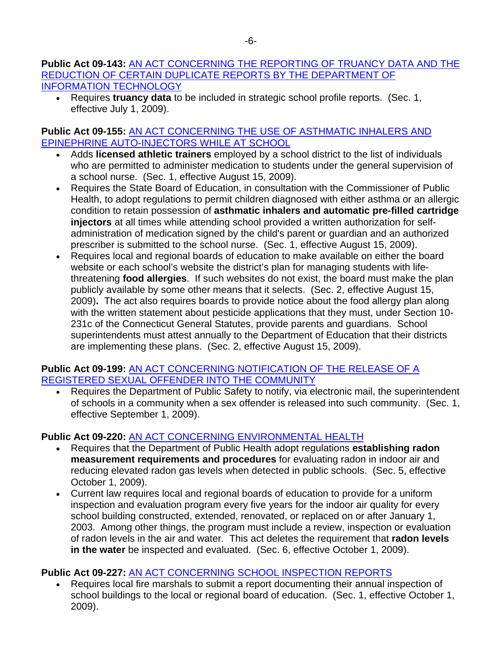#### **Public Act 09-143:** [AN ACT CONCERNING THE REPORTING OF TRUANCY DATA AND THE](http://www.cga.ct.gov/2009/ACT/Pa/pdf/2009PA-00143-R00SB-00940-PA.pdf)  [REDUCTION OF CERTAIN DUPLICATE REPORTS BY THE DEPARTMENT OF](http://www.cga.ct.gov/2009/ACT/Pa/pdf/2009PA-00143-R00SB-00940-PA.pdf)  [INFORMATION TECHNOLOGY](http://www.cga.ct.gov/2009/ACT/Pa/pdf/2009PA-00143-R00SB-00940-PA.pdf)

• Requires **truancy data** to be included in strategic school profile reports. (Sec. 1, effective July 1, 2009).

#### **Public Act 09-155:** [AN ACT CONCERNING THE USE OF ASTHMATIC INHALERS AND](http://www.cga.ct.gov/2009/ACT/Pa/pdf/2009PA-00155-R00SB-00755-PA.pdf)  [EPINEPHRINE AUTO-INJECTORS WHILE AT SCHOOL](http://www.cga.ct.gov/2009/ACT/Pa/pdf/2009PA-00155-R00SB-00755-PA.pdf)

- Adds **licensed athletic trainers** employed by a school district to the list of individuals who are permitted to administer medication to students under the general supervision of a school nurse. (Sec. 1, effective August 15, 2009).
- Requires the State Board of Education, in consultation with the Commissioner of Public Health, to adopt regulations to permit children diagnosed with either asthma or an allergic condition to retain possession of **asthmatic inhalers and automatic pre-filled cartridge injectors** at all times while attending school provided a written authorization for selfadministration of medication signed by the child's parent or guardian and an authorized prescriber is submitted to the school nurse. (Sec. 1, effective August 15, 2009).
- Requires local and regional boards of education to make available on either the board website or each school's website the district's plan for managing students with lifethreatening **food allergies**. If such websites do not exist, the board must make the plan publicly available by some other means that it selects. (Sec. 2, effective August 15, 2009)**.** The act also requires boards to provide notice about the food allergy plan along with the written statement about pesticide applications that they must, under Section 10- 231c of the Connecticut General Statutes, provide parents and guardians. School superintendents must attest annually to the Department of Education that their districts are implementing these plans. (Sec. 2, effective August 15, 2009).

#### **Public Act 09-199:** [AN ACT CONCERNING NOTIFICATION OF THE RELEASE OF A](http://www.cga.ct.gov/2009/ACT/Pa/pdf/2009PA-00199-R00SB-00533-PA.pdf)  [REGISTERED SEXUAL OFFENDER INTO THE COMMUNITY](http://www.cga.ct.gov/2009/ACT/Pa/pdf/2009PA-00199-R00SB-00533-PA.pdf)

• Requires the Department of Public Safety to notify, via electronic mail, the superintendent of schools in a community when a sex offender is released into such community. (Sec. 1, effective September 1, 2009).

# **Public Act 09-220:** [AN ACT CONCERNING ENVIRONMENTAL HEALTH](http://www.cga.ct.gov/2009/ACT/Pa/pdf/2009PA-00220-R00HB-06539-PA.pdf)

- Requires that the Department of Public Health adopt regulations **establishing radon measurement requirements and procedures** for evaluating radon in indoor air and reducing elevated radon gas levels when detected in public schools. (Sec. 5, effective October 1, 2009).
- Current law requires local and regional boards of education to provide for a uniform inspection and evaluation program every five years for the indoor air quality for every school building constructed, extended, renovated, or replaced on or after January 1, 2003. Among other things, the program must include a review, inspection or evaluation of radon levels in the air and water. This act deletes the requirement that **radon levels in the water** be inspected and evaluated. (Sec. 6, effective October 1, 2009).

# **Public Act 09-227:** [AN ACT CONCERNING SCHOOL INSPECTION REPORTS](http://www.cga.ct.gov/2009/ACT/Pa/pdf/2009PA-00227-R00SB-00850-PA.pdf)

• Requires local fire marshals to submit a report documenting their annual inspection of school buildings to the local or regional board of education. (Sec. 1, effective October 1, 2009).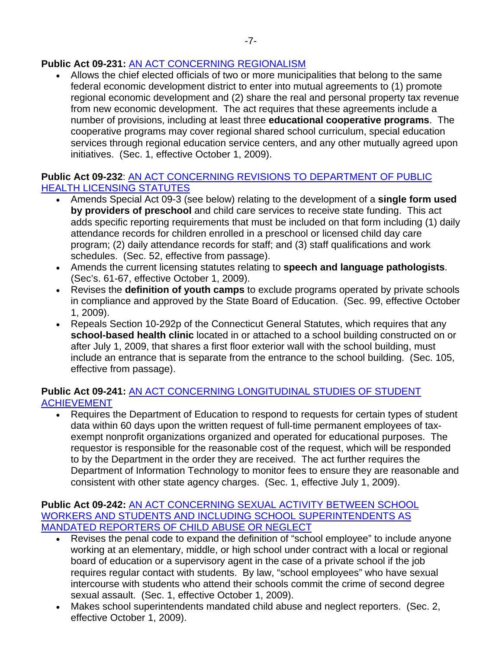## **Public Act 09-231:** [AN ACT CONCERNING REGIONALISM](http://www.cga.ct.gov/2009/ACT/Pa/pdf/2009PA-00231-R00HB-06585-PA.pdf)

• Allows the chief elected officials of two or more municipalities that belong to the same federal economic development district to enter into mutual agreements to (1) promote regional economic development and (2) share the real and personal property tax revenue from new economic development. The act requires that these agreements include a number of provisions, including at least three **educational cooperative programs**. The cooperative programs may cover regional shared school curriculum, special education services through regional education service centers, and any other mutually agreed upon initiatives. (Sec. 1, effective October 1, 2009).

### **Public Act 09-232**: [AN ACT CONCERNING REVISIONS TO DEPARTMENT OF PUBLIC](http://www.cga.ct.gov/2009/ACT/Pa/pdf/2009PA-00232-R00HB-06678-PA.pdf)  [HEALTH LICENSING STATUTES](http://www.cga.ct.gov/2009/ACT/Pa/pdf/2009PA-00232-R00HB-06678-PA.pdf)

- Amends Special Act 09-3 (see below) relating to the development of a **single form used by providers of preschool** and child care services to receive state funding. This act adds specific reporting requirements that must be included on that form including (1) daily attendance records for children enrolled in a preschool or licensed child day care program; (2) daily attendance records for staff; and (3) staff qualifications and work schedules. (Sec. 52, effective from passage).
- Amends the current licensing statutes relating to **speech and language pathologists**. (Sec's. 61-67, effective October 1, 2009).
- Revises the **definition of youth camps** to exclude programs operated by private schools in compliance and approved by the State Board of Education. (Sec. 99, effective October 1, 2009).
- Repeals Section 10-292p of the Connecticut General Statutes, which requires that any **school-based health clinic** located in or attached to a school building constructed on or after July 1, 2009, that shares a first floor exterior wall with the school building, must include an entrance that is separate from the entrance to the school building. (Sec. 105, effective from passage).

## **Public Act 09-241:** [AN ACT CONCERNING LONGITUDINAL STUDIES OF STUDENT](http://www.cga.ct.gov/2009/ACT/Pa/pdf/2009PA-00241-R00SB-01014-PA.pdf)  [ACHIEVEMENT](http://www.cga.ct.gov/2009/ACT/Pa/pdf/2009PA-00241-R00SB-01014-PA.pdf)

• Requires the Department of Education to respond to requests for certain types of student data within 60 days upon the written request of full-time permanent employees of taxexempt nonprofit organizations organized and operated for educational purposes. The requestor is responsible for the reasonable cost of the request, which will be responded to by the Department in the order they are received. The act further requires the Department of Information Technology to monitor fees to ensure they are reasonable and consistent with other state agency charges. (Sec. 1, effective July 1, 2009).

#### **Public Act 09-242:** [AN ACT CONCERNING SEXUAL ACTIVITY BETWEEN SCHOOL](http://www.cga.ct.gov/2009/ACT/Pa/pdf/2009PA-00242-R00SB-01110-PA.pdf)  [WORKERS AND STUDENTS AND INCLUDING SCHOOL SUPERINTENDENTS AS](http://www.cga.ct.gov/2009/ACT/Pa/pdf/2009PA-00242-R00SB-01110-PA.pdf)  [MANDATED REPORTERS OF CHILD ABUSE OR NEGLECT](http://www.cga.ct.gov/2009/ACT/Pa/pdf/2009PA-00242-R00SB-01110-PA.pdf)

- Revises the penal code to expand the definition of "school employee" to include anyone working at an elementary, middle, or high school under contract with a local or regional board of education or a supervisory agent in the case of a private school if the job requires regular contact with students. By law, "school employees" who have sexual intercourse with students who attend their schools commit the crime of second degree sexual assault. (Sec. 1, effective October 1, 2009).
- Makes school superintendents mandated child abuse and neglect reporters. (Sec. 2, effective October 1, 2009).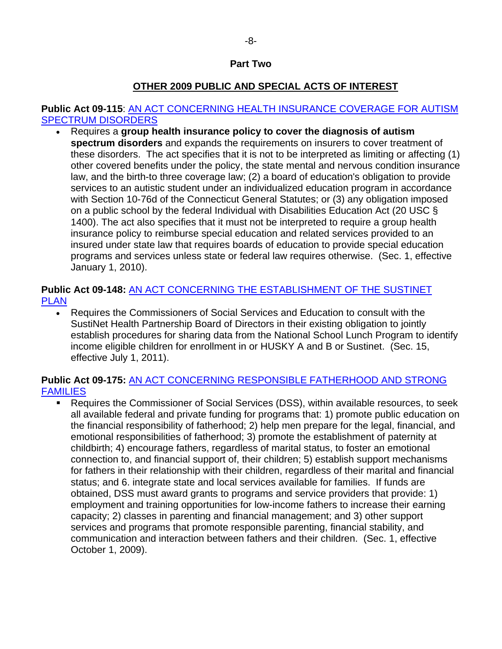#### **Part Two**

## **OTHER 2009 PUBLIC AND SPECIAL ACTS OF INTEREST**

#### **Public Act 09-115**: [AN ACT CONCERNING HEALTH INSURANCE COVERAGE FOR AUTISM](http://www.cga.ct.gov/2009/ACT/Pa/pdf/2009PA-00115-R00SB-00301-PA.pdf)  [SPECTRUM DISORDERS](http://www.cga.ct.gov/2009/ACT/Pa/pdf/2009PA-00115-R00SB-00301-PA.pdf)

• Requires a **group health insurance policy to cover the diagnosis of autism spectrum disorders** and expands the requirements on insurers to cover treatment of these disorders. The act specifies that it is not to be interpreted as limiting or affecting (1) other covered benefits under the policy, the state mental and nervous condition insurance law, and the birth-to three coverage law; (2) a board of education's obligation to provide services to an autistic student under an individualized education program in accordance with Section 10-76d of the Connecticut General Statutes; or (3) any obligation imposed on a public school by the federal Individual with Disabilities Education Act (20 USC § 1400). The act also specifies that it must not be interpreted to require a group health insurance policy to reimburse special education and related services provided to an insured under state law that requires boards of education to provide special education programs and services unless state or federal law requires otherwise. (Sec. 1, effective January 1, 2010).

## **Public Act 09-148:** [AN ACT CONCERNING THE ESTABLISHMENT OF THE SUSTINET](http://www.cga.ct.gov/2009/ACT/Pa/pdf/2009PA-00148-R00HB-06600-PA.pdf)  [PLAN](http://www.cga.ct.gov/2009/ACT/Pa/pdf/2009PA-00148-R00HB-06600-PA.pdf)

• Requires the Commissioners of Social Services and Education to consult with the SustiNet Health Partnership Board of Directors in their existing obligation to jointly establish procedures for sharing data from the National School Lunch Program to identify income eligible children for enrollment in or HUSKY A and B or Sustinet. (Sec. 15, effective July 1, 2011).

## **Public Act 09-175:** [AN ACT CONCERNING RESPONSIBLE FATHERHOOD AND STRONG](http://www.cga.ct.gov/2009/ACT/Pa/pdf/2009PA-00175-R00HB-06486-PA.pdf)  [FAMILIES](http://www.cga.ct.gov/2009/ACT/Pa/pdf/2009PA-00175-R00HB-06486-PA.pdf)

 Requires the Commissioner of Social Services (DSS), within available resources, to seek all available federal and private funding for programs that: 1) promote public education on the financial responsibility of fatherhood; 2) help men prepare for the legal, financial, and emotional responsibilities of fatherhood; 3) promote the establishment of paternity at childbirth; 4) encourage fathers, regardless of marital status, to foster an emotional connection to, and financial support of, their children; 5) establish support mechanisms for fathers in their relationship with their children, regardless of their marital and financial status; and 6. integrate state and local services available for families. If funds are obtained, DSS must award grants to programs and service providers that provide: 1) employment and training opportunities for low-income fathers to increase their earning capacity; 2) classes in parenting and financial management; and 3) other support services and programs that promote responsible parenting, financial stability, and communication and interaction between fathers and their children. (Sec. 1, effective October 1, 2009).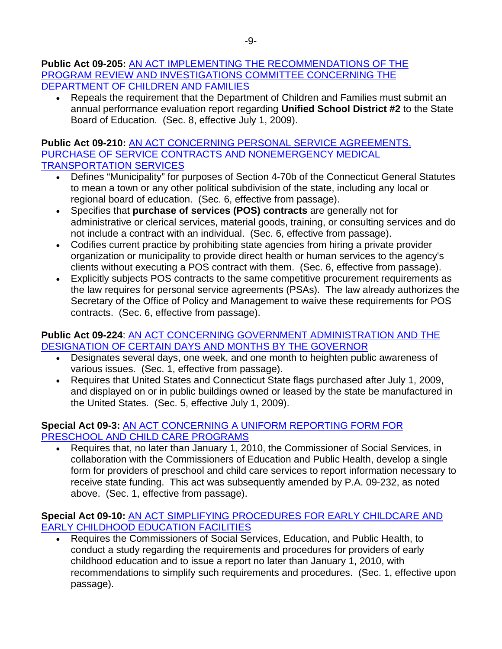#### **Public Act 09-205:** [AN ACT IMPLEMENTING THE RECOMMENDATIONS OF THE](http://www.cga.ct.gov/2009/ACT/Pa/pdf/2009PA-00205-R00SB-00877-PA.pdf)  [PROGRAM REVIEW AND INVESTIGATIONS COMMITTEE CONCERNING THE](http://www.cga.ct.gov/2009/ACT/Pa/pdf/2009PA-00205-R00SB-00877-PA.pdf)  [DEPARTMENT OF CHILDREN AND FAMILIES](http://www.cga.ct.gov/2009/ACT/Pa/pdf/2009PA-00205-R00SB-00877-PA.pdf)

• Repeals the requirement that the Department of Children and Families must submit an annual performance evaluation report regarding **Unified School District #2** to the State Board of Education. (Sec. 8, effective July 1, 2009).

### **Public Act 09-210:** [AN ACT CONCERNING PERSONAL SERVICE AGREEMENTS,](http://www.cga.ct.gov/2009/ACT/Pa/pdf/2009PA-00210-R00SB-00954-PA.pdf)  [PURCHASE OF SERVICE CONTRACTS AND NONEMERGENCY MEDICAL](http://www.cga.ct.gov/2009/ACT/Pa/pdf/2009PA-00210-R00SB-00954-PA.pdf)  [TRANSPORTATION SERVICES](http://www.cga.ct.gov/2009/ACT/Pa/pdf/2009PA-00210-R00SB-00954-PA.pdf)

- Defines "Municipality" for purposes of Section 4-70b of the Connecticut General Statutes to mean a town or any other political subdivision of the state, including any local or regional board of education. (Sec. 6, effective from passage).
- Specifies that **purchase of services (POS) contracts** are generally not for administrative or clerical services, material goods, training, or consulting services and do not include a contract with an individual. (Sec. 6, effective from passage).
- Codifies current practice by prohibiting state agencies from hiring a private provider organization or municipality to provide direct health or human services to the agency's clients without executing a POS contract with them. (Sec. 6, effective from passage).
- Explicitly subjects POS contracts to the same competitive procurement requirements as the law requires for personal service agreements (PSAs). The law already authorizes the Secretary of the Office of Policy and Management to waive these requirements for POS contracts. (Sec. 6, effective from passage).

## **Public Act 09-224**: [AN ACT CONCERNING GOVERNMENT ADMINISTRATION AND THE](http://www.cga.ct.gov/2009/ACT/Pa/pdf/2009PA-00224-R00HB-06693-PA.pdf)  [DESIGNATION OF CERTAIN DAYS AND MONTHS BY THE GOVERNOR](http://www.cga.ct.gov/2009/ACT/Pa/pdf/2009PA-00224-R00HB-06693-PA.pdf)

- Designates several days, one week, and one month to heighten public awareness of various issues. (Sec. 1, effective from passage).
- Requires that United States and Connecticut State flags purchased after July 1, 2009, and displayed on or in public buildings owned or leased by the state be manufactured in the United States. (Sec. 5, effective July 1, 2009).

## **Special Act 09-3:** [AN ACT CONCERNING A UNIFORM REPORTING FORM FOR](http://www.cga.ct.gov/2009/ACT/sa/pdf/2009SA-00003-R00HB-05841-SA.pdf)  [PRESCHOOL AND CHILD CARE PROGRAMS](http://www.cga.ct.gov/2009/ACT/sa/pdf/2009SA-00003-R00HB-05841-SA.pdf)

• Requires that, no later than January 1, 2010, the Commissioner of Social Services, in collaboration with the Commissioners of Education and Public Health, develop a single form for providers of preschool and child care services to report information necessary to receive state funding. This act was subsequently amended by P.A. 09-232, as noted above. (Sec. 1, effective from passage).

## **Special Act 09-10:** [AN ACT SIMPLIFYING PROCEDURES FOR EARLY CHILDCARE AND](http://www.cga.ct.gov/2009/ACT/sa/pdf/2009SA-00010-R00HB-06544-SA.pdf)  [EARLY CHILDHOOD EDUCATION FACILITIES](http://www.cga.ct.gov/2009/ACT/sa/pdf/2009SA-00010-R00HB-06544-SA.pdf)

• Requires the Commissioners of Social Services, Education, and Public Health, to conduct a study regarding the requirements and procedures for providers of early childhood education and to issue a report no later than January 1, 2010, with recommendations to simplify such requirements and procedures. (Sec. 1, effective upon passage).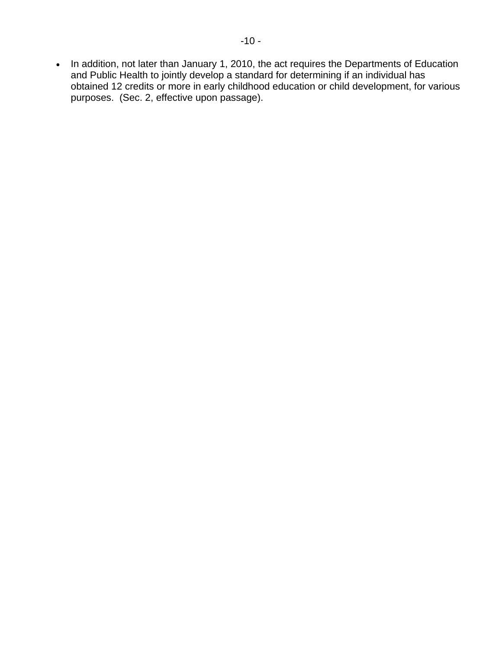• In addition, not later than January 1, 2010, the act requires the Departments of Education and Public Health to jointly develop a standard for determining if an individual has obtained 12 credits or more in early childhood education or child development, for various purposes. (Sec. 2, effective upon passage).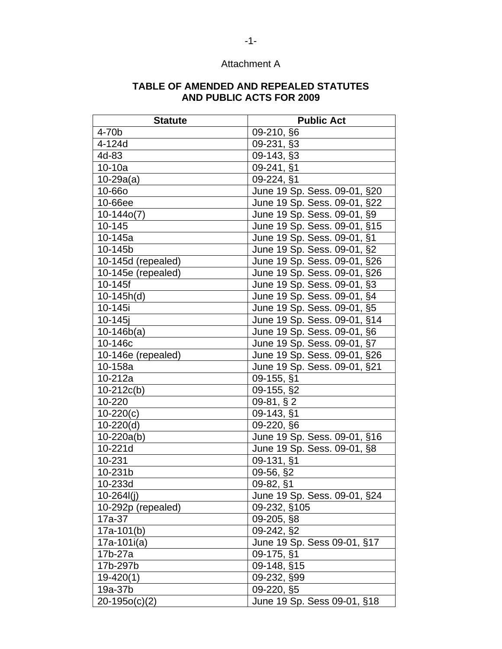# Attachment A

#### **TABLE OF AMENDED AND REPEALED STATUTES AND PUBLIC ACTS FOR 2009**

| <b>Statute</b>     | <b>Public Act</b>            |
|--------------------|------------------------------|
| 4-70 <sub>b</sub>  | 09-210, §6                   |
| 4-124d             | 09-231, §3                   |
| 4d-83              | 09-143, §3                   |
| $10-10a$           | 09-241, §1                   |
| $10 - 29a(a)$      | 09-224, §1                   |
| <b>10-660</b>      | June 19 Sp. Sess. 09-01, §20 |
| 10-66ee            | June 19 Sp. Sess. 09-01, §22 |
| $10-144o(7)$       | June 19 Sp. Sess. 09-01, §9  |
| 10-145             | June 19 Sp. Sess. 09-01, §15 |
| 10-145a            | June 19 Sp. Sess. 09-01, §1  |
| 10-145b            | June 19 Sp. Sess. 09-01, §2  |
| 10-145d (repealed) | June 19 Sp. Sess. 09-01, §26 |
| 10-145e (repealed) | June 19 Sp. Sess. 09-01, §26 |
| 10-145f            | June 19 Sp. Sess. 09-01, §3  |
| $10-145h(d)$       | June 19 Sp. Sess. 09-01, §4  |
| 10-145i            | June 19 Sp. Sess. 09-01, §5  |
| 10-145j            | June 19 Sp. Sess. 09-01, §14 |
| $10-146b(a)$       | June 19 Sp. Sess. 09-01, §6  |
| 10-146c            | June 19 Sp. Sess. 09-01, §7  |
| 10-146e (repealed) | June 19 Sp. Sess. 09-01, §26 |
| 10-158a            | June 19 Sp. Sess. 09-01, §21 |
| 10-212a            | 09-155, §1                   |
| $10-212c(b)$       | 09-155, §2                   |
| 10-220             | $09-81, §2$                  |
| $10-220(c)$        | 09-143, §1                   |
| $10-220(d)$        | 09-220, §6                   |
| $10 - 220a(b)$     | June 19 Sp. Sess. 09-01, §16 |
| 10-221d            | June 19 Sp. Sess. 09-01, §8  |
| 10-231             | 09-131, §1                   |
| 10-231b            | 09-56, §2                    |
| 10-233d            | $\overline{0}9 - 82,$ §1     |
| $10 - 264$         | June 19 Sp. Sess. 09-01, §24 |
| 10-292p (repealed) | 09-232, §105                 |
| 17a-37             | 09-205, §8                   |
| $17a-101(b)$       | 09-242, §2                   |
| $17a-101i(a)$      | June 19 Sp. Sess 09-01, §17  |
| 17b-27a            | 09-175, §1                   |
| 17b-297b           | 09-148, §15                  |
| $19-420(1)$        | 09-232, §99                  |
| 19a-37b            | 09-220, §5                   |
| $20-195o(c)(2)$    | June 19 Sp. Sess 09-01, §18  |